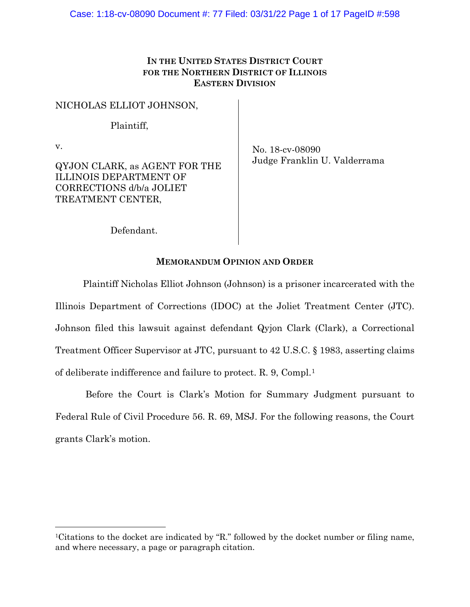# **IN THE UNITED STATES DISTRICT COURT FOR THE NORTHERN DISTRICT OF ILLINOIS EASTERN DIVISION**

NICHOLAS ELLIOT JOHNSON,

Plaintiff,

v.

QYJON CLARK, as AGENT FOR THE ILLINOIS DEPARTMENT OF CORRECTIONS d/b/a JOLIET TREATMENT CENTER,

No. 18-cv-08090 Judge Franklin U. Valderrama

Defendant.

# **MEMORANDUM OPINION AND ORDER**

Plaintiff Nicholas Elliot Johnson (Johnson) is a prisoner incarcerated with the Illinois Department of Corrections (IDOC) at the Joliet Treatment Center (JTC). Johnson filed this lawsuit against defendant Qyjon Clark (Clark), a Correctional Treatment Officer Supervisor at JTC, pursuant to 42 U.S.C. § 1983, asserting claims of deliberate indifference and failure to protect. R. 9, Compl.[1](#page-0-0)

Before the Court is Clark's Motion for Summary Judgment pursuant to Federal Rule of Civil Procedure 56. R. 69, MSJ. For the following reasons, the Court grants Clark's motion.

<span id="page-0-0"></span><sup>1</sup>Citations to the docket are indicated by "R." followed by the docket number or filing name, and where necessary, a page or paragraph citation.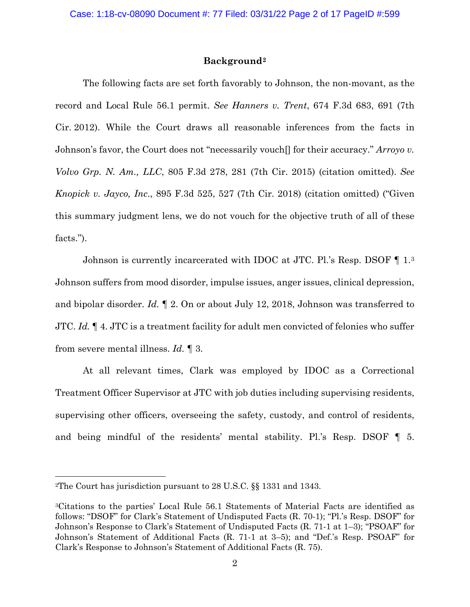## **Background[2](#page-1-0)**

The following facts are set forth favorably to Johnson, the non-movant, as the record and Local Rule 56.1 permit. *See Hanners v. Trent*, 674 F.3d 683, 691 (7th Cir. 2012). While the Court draws all reasonable inferences from the facts in Johnson's favor, the Court does not "necessarily vouch[] for their accuracy." *Arroyo v. Volvo Grp. N. Am., LLC*, 805 F.3d 278, 281 (7th Cir. 2015) (citation omitted). *See Knopick v. Jayco, Inc*., 895 F.3d 525, 527 (7th Cir. 2018) (citation omitted) ("Given this summary judgment lens, we do not vouch for the objective truth of all of these facts.").

Johnson is currently incarcerated with IDOC at JTC. Pl.'s Resp. DSOF ¶ 1.[3](#page-1-1) Johnson suffers from mood disorder, impulse issues, anger issues, clinical depression, and bipolar disorder. *Id.* ¶ 2. On or about July 12, 2018, Johnson was transferred to JTC. *Id.* ¶ 4. JTC is a treatment facility for adult men convicted of felonies who suffer from severe mental illness. *Id.* ¶ 3.

At all relevant times, Clark was employed by IDOC as a Correctional Treatment Officer Supervisor at JTC with job duties including supervising residents, supervising other officers, overseeing the safety, custody, and control of residents, and being mindful of the residents' mental stability. Pl.'s Resp. DSOF ¶ 5.

<span id="page-1-0"></span><sup>2</sup>The Court has jurisdiction pursuant to 28 U.S.C. §§ 1331 and 1343.

<span id="page-1-1"></span><sup>3</sup>Citations to the parties' Local Rule 56.1 Statements of Material Facts are identified as follows: "DSOF" for Clark's Statement of Undisputed Facts (R. 70-1); "Pl.'s Resp. DSOF" for Johnson's Response to Clark's Statement of Undisputed Facts (R. 71-1 at 1–3); "PSOAF" for Johnson's Statement of Additional Facts (R. 71-1 at 3–5); and "Def.'s Resp. PSOAF" for Clark's Response to Johnson's Statement of Additional Facts (R. 75).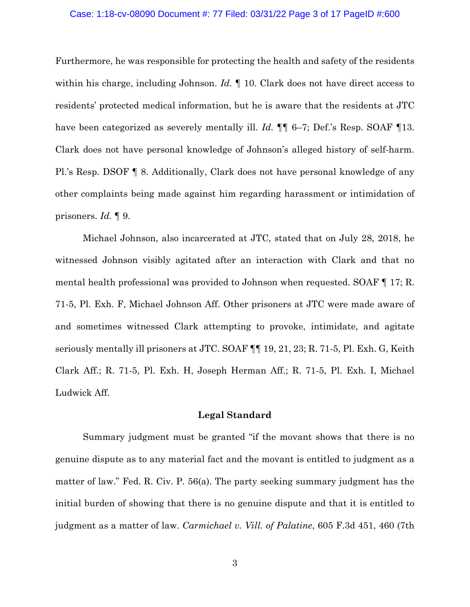#### Case: 1:18-cv-08090 Document #: 77 Filed: 03/31/22 Page 3 of 17 PageID #:600

Furthermore, he was responsible for protecting the health and safety of the residents within his charge, including Johnson. *Id.* ¶ 10. Clark does not have direct access to residents' protected medical information, but he is aware that the residents at JTC have been categorized as severely mentally ill. *Id.*  $\P\P$  6–7; Def.'s Resp. SOAF  $\P$ 13. Clark does not have personal knowledge of Johnson's alleged history of self-harm. Pl.'s Resp. DSOF ¶ 8. Additionally, Clark does not have personal knowledge of any other complaints being made against him regarding harassment or intimidation of prisoners. *Id.* ¶ 9.

Michael Johnson, also incarcerated at JTC, stated that on July 28, 2018, he witnessed Johnson visibly agitated after an interaction with Clark and that no mental health professional was provided to Johnson when requested. SOAF ¶ 17; R. 71-5, Pl. Exh. F, Michael Johnson Aff. Other prisoners at JTC were made aware of and sometimes witnessed Clark attempting to provoke, intimidate, and agitate seriously mentally ill prisoners at JTC. SOAF ¶¶ 19, 21, 23; R. 71-5, Pl. Exh. G, Keith Clark Aff.; R. 71-5, Pl. Exh. H, Joseph Herman Aff.; R. 71-5, Pl. Exh. I, Michael Ludwick Aff.

### **Legal Standard**

Summary judgment must be granted "if the movant shows that there is no genuine dispute as to any material fact and the movant is entitled to judgment as a matter of law." Fed. R. Civ. P. 56(a). The party seeking summary judgment has the initial burden of showing that there is no genuine dispute and that it is entitled to judgment as a matter of law. *Carmichael v. Vill. of Palatine*, 605 F.3d 451, 460 (7th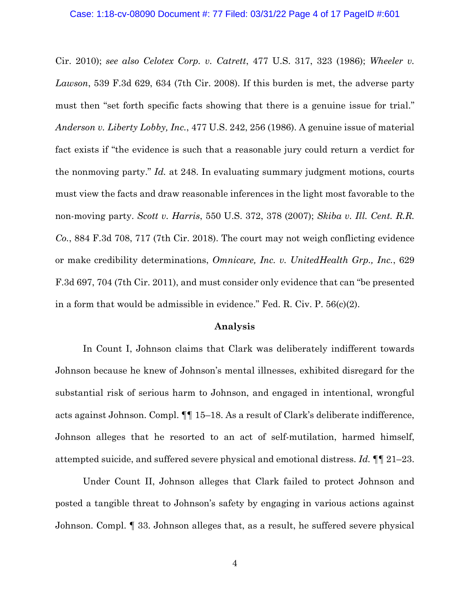#### Case: 1:18-cv-08090 Document #: 77 Filed: 03/31/22 Page 4 of 17 PageID #:601

Cir. 2010); *see also Celotex Corp. v. Catrett*, 477 U.S. 317, 323 (1986); *Wheeler v. Lawson*, 539 F.3d 629, 634 (7th Cir. 2008). If this burden is met, the adverse party must then "set forth specific facts showing that there is a genuine issue for trial." *Anderson v. Liberty Lobby, Inc.*, 477 U.S. 242, 256 (1986). A genuine issue of material fact exists if "the evidence is such that a reasonable jury could return a verdict for the nonmoving party." *Id.* at 248. In evaluating summary judgment motions, courts must view the facts and draw reasonable inferences in the light most favorable to the non-moving party. *Scott v. Harris*, 550 U.S. 372, 378 (2007); *Skiba v. Ill. Cent. R.R. Co.*, 884 F.3d 708, 717 (7th Cir. 2018). The court may not weigh conflicting evidence or make credibility determinations, *Omnicare, Inc. v. UnitedHealth Grp., Inc.*, 629 F.3d 697, 704 (7th Cir. 2011), and must consider only evidence that can "be presented in a form that would be admissible in evidence." Fed. R. Civ. P. 56(c)(2).

#### **Analysis**

In Count I, Johnson claims that Clark was deliberately indifferent towards Johnson because he knew of Johnson's mental illnesses, exhibited disregard for the substantial risk of serious harm to Johnson, and engaged in intentional, wrongful acts against Johnson. Compl. ¶¶ 15–18. As a result of Clark's deliberate indifference, Johnson alleges that he resorted to an act of self-mutilation, harmed himself, attempted suicide, and suffered severe physical and emotional distress. *Id.* ¶¶ 21–23.

Under Count II, Johnson alleges that Clark failed to protect Johnson and posted a tangible threat to Johnson's safety by engaging in various actions against Johnson. Compl. ¶ 33. Johnson alleges that, as a result, he suffered severe physical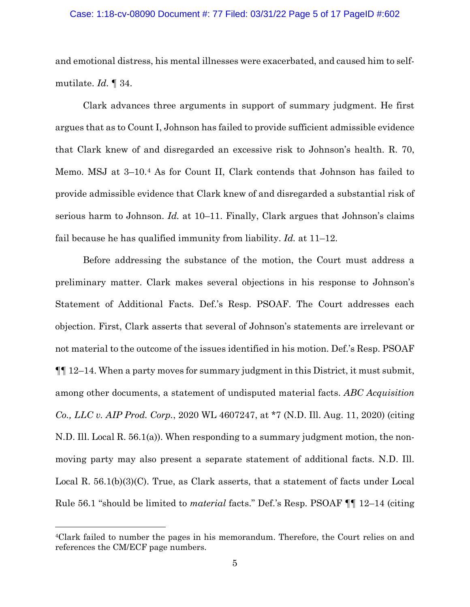## Case: 1:18-cv-08090 Document #: 77 Filed: 03/31/22 Page 5 of 17 PageID #:602

and emotional distress, his mental illnesses were exacerbated, and caused him to selfmutilate. *Id.* ¶ 34.

Clark advances three arguments in support of summary judgment. He first argues that as to Count I, Johnson has failed to provide sufficient admissible evidence that Clark knew of and disregarded an excessive risk to Johnson's health. R. 70, Memo. MSJ at 3–10.[4](#page-4-0) As for Count II, Clark contends that Johnson has failed to provide admissible evidence that Clark knew of and disregarded a substantial risk of serious harm to Johnson. *Id.* at 10–11. Finally, Clark argues that Johnson's claims fail because he has qualified immunity from liability. *Id.* at 11–12.

Before addressing the substance of the motion, the Court must address a preliminary matter. Clark makes several objections in his response to Johnson's Statement of Additional Facts. Def.'s Resp. PSOAF. The Court addresses each objection. First, Clark asserts that several of Johnson's statements are irrelevant or not material to the outcome of the issues identified in his motion. Def.'s Resp. PSOAF ¶¶ 12–14. When a party moves for summary judgment in this District, it must submit, among other documents, a statement of undisputed material facts. *ABC Acquisition Co., LLC v. AIP Prod. Corp.*, 2020 WL 4607247, at \*7 (N.D. Ill. Aug. 11, 2020) (citing N.D. Ill. Local R. 56.1(a)). When responding to a summary judgment motion, the nonmoving party may also present a separate statement of additional facts. N.D. Ill. Local R.  $56.1(b)(3)(C)$ . True, as Clark asserts, that a statement of facts under Local Rule 56.1 "should be limited to *material* facts." Def.'s Resp. PSOAF ¶¶ 12–14 (citing

<span id="page-4-0"></span><sup>4</sup>Clark failed to number the pages in his memorandum. Therefore, the Court relies on and references the CM/ECF page numbers.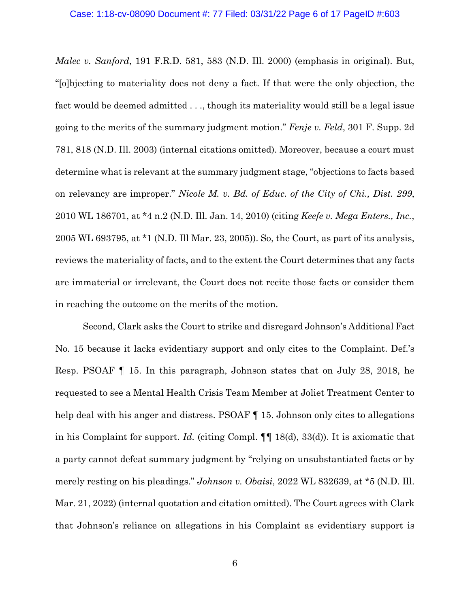*Malec v. Sanford*, 191 F.R.D. 581, 583 (N.D. Ill. 2000) (emphasis in original). But, "[o]bjecting to materiality does not deny a fact. If that were the only objection, the fact would be deemed admitted . . ., though its materiality would still be a legal issue going to the merits of the summary judgment motion." *Fenje v. Feld*, 301 F. Supp. 2d 781, 818 (N.D. Ill. 2003) (internal citations omitted). Moreover, because a court must determine what is relevant at the summary judgment stage, "objections to facts based on relevancy are improper." *Nicole M. v. Bd. of Educ. of the City of Chi., Dist. 299*, 2010 WL 186701, at \*4 n.2 (N.D. Ill. Jan. 14, 2010) (citing *Keefe v. Mega Enters., Inc.*, 2005 WL 693795, at \*1 (N.D. Ill Mar. 23, 2005)). So, the Court, as part of its analysis, reviews the materiality of facts, and to the extent the Court determines that any facts are immaterial or irrelevant, the Court does not recite those facts or consider them in reaching the outcome on the merits of the motion.

Second, Clark asks the Court to strike and disregard Johnson's Additional Fact No. 15 because it lacks evidentiary support and only cites to the Complaint. Def.'s Resp. PSOAF ¶ 15. In this paragraph, Johnson states that on July 28, 2018, he requested to see a Mental Health Crisis Team Member at Joliet Treatment Center to help deal with his anger and distress. PSOAF  $\P$  15. Johnson only cites to allegations in his Complaint for support. *Id.* (citing Compl. ¶¶ 18(d), 33(d)). It is axiomatic that a party cannot defeat summary judgment by "relying on unsubstantiated facts or by merely resting on his pleadings." *Johnson v. Obaisi*, 2022 WL 832639, at \*5 (N.D. Ill. Mar. 21, 2022) (internal quotation and citation omitted). The Court agrees with Clark that Johnson's reliance on allegations in his Complaint as evidentiary support is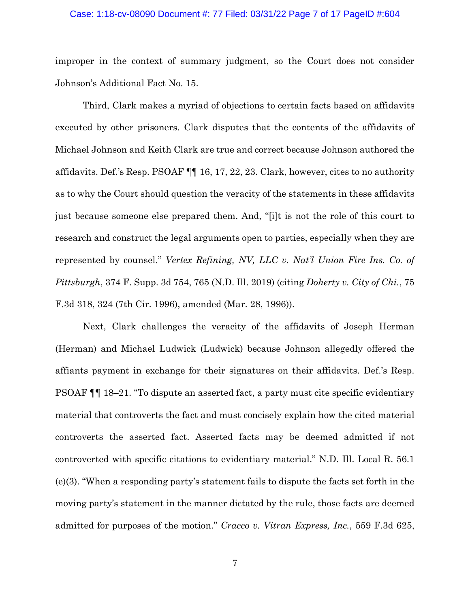## Case: 1:18-cv-08090 Document #: 77 Filed: 03/31/22 Page 7 of 17 PageID #:604

improper in the context of summary judgment, so the Court does not consider Johnson's Additional Fact No. 15.

Third, Clark makes a myriad of objections to certain facts based on affidavits executed by other prisoners. Clark disputes that the contents of the affidavits of Michael Johnson and Keith Clark are true and correct because Johnson authored the affidavits. Def.'s Resp. PSOAF ¶¶ 16, 17, 22, 23. Clark, however, cites to no authority as to why the Court should question the veracity of the statements in these affidavits just because someone else prepared them. And, "[i]t is not the role of this court to research and construct the legal arguments open to parties, especially when they are represented by counsel." *Vertex Refining, NV, LLC v. Nat'l Union Fire Ins. Co. of Pittsburgh*, 374 F. Supp. 3d 754, 765 (N.D. Ill. 2019) (citing *Doherty v. City of Chi.*, 75 F.3d 318, 324 (7th Cir. 1996), amended (Mar. 28, 1996)).

Next, Clark challenges the veracity of the affidavits of Joseph Herman (Herman) and Michael Ludwick (Ludwick) because Johnson allegedly offered the affiants payment in exchange for their signatures on their affidavits. Def.'s Resp. PSOAF ¶¶ 18–21. "To dispute an asserted fact, a party must cite specific evidentiary material that controverts the fact and must concisely explain how the cited material controverts the asserted fact. Asserted facts may be deemed admitted if not controverted with specific citations to evidentiary material." N.D. Ill. Local R. 56.1 (e)(3). "When a responding party's statement fails to dispute the facts set forth in the moving party's statement in the manner dictated by the rule, those facts are deemed admitted for purposes of the motion." *Cracco v. Vitran Express, Inc.*, 559 F.3d 625,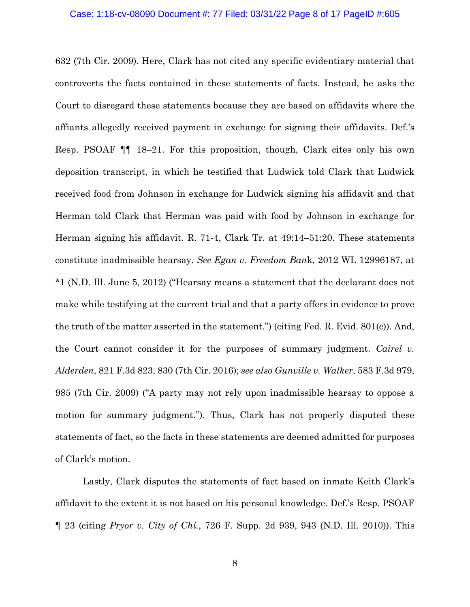#### Case: 1:18-cv-08090 Document #: 77 Filed: 03/31/22 Page 8 of 17 PageID #:605

632 (7th Cir. 2009). Here, Clark has not cited any specific evidentiary material that controverts the facts contained in these statements of facts. Instead, he asks the Court to disregard these statements because they are based on affidavits where the affiants allegedly received payment in exchange for signing their affidavits. Def.'s Resp. PSOAF ¶¶ 18–21. For this proposition, though, Clark cites only his own deposition transcript, in which he testified that Ludwick told Clark that Ludwick received food from Johnson in exchange for Ludwick signing his affidavit and that Herman told Clark that Herman was paid with food by Johnson in exchange for Herman signing his affidavit. R. 71-4, Clark Tr. at 49:14–51:20. These statements constitute inadmissible hearsay. *See Egan v. Freedom Ban*k, 2012 WL 12996187, at \*1 (N.D. Ill. June 5, 2012) ("Hearsay means a statement that the declarant does not make while testifying at the current trial and that a party offers in evidence to prove the truth of the matter asserted in the statement.") (citing Fed. R. Evid. 801(c)). And, the Court cannot consider it for the purposes of summary judgment. *Cairel v. Alderden*, 821 F.3d 823, 830 (7th Cir. 2016); *see also Gunville v. Walker*, 583 F.3d 979, 985 (7th Cir. 2009) ("A party may not rely upon inadmissible hearsay to oppose a motion for summary judgment."). Thus, Clark has not properly disputed these statements of fact, so the facts in these statements are deemed admitted for purposes of Clark's motion.

Lastly, Clark disputes the statements of fact based on inmate Keith Clark's affidavit to the extent it is not based on his personal knowledge. Def.'s Resp. PSOAF ¶ 23 (citing *Pryor v. City of Chi.*, 726 F. Supp. 2d 939, 943 (N.D. Ill. 2010)). This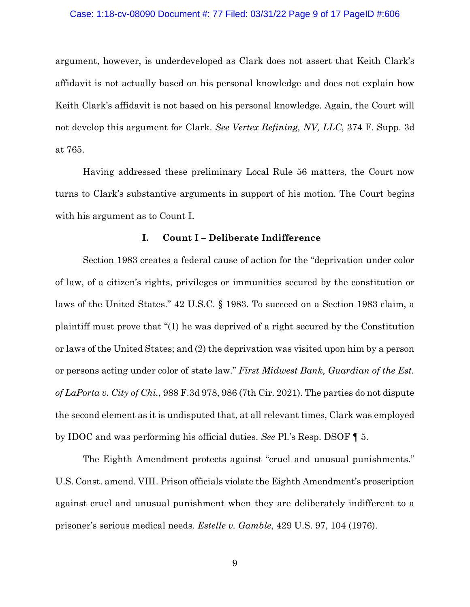#### Case: 1:18-cv-08090 Document #: 77 Filed: 03/31/22 Page 9 of 17 PageID #:606

argument, however, is underdeveloped as Clark does not assert that Keith Clark's affidavit is not actually based on his personal knowledge and does not explain how Keith Clark's affidavit is not based on his personal knowledge. Again, the Court will not develop this argument for Clark. *See Vertex Refining, NV, LLC*, 374 F. Supp. 3d at 765.

Having addressed these preliminary Local Rule 56 matters, the Court now turns to Clark's substantive arguments in support of his motion. The Court begins with his argument as to Count I.

### **I. Count I – Deliberate Indifference**

Section 1983 creates a federal cause of action for the "deprivation under color of law, of a citizen's rights, privileges or immunities secured by the constitution or laws of the United States." 42 U.S.C. § 1983. To succeed on a Section 1983 claim, a plaintiff must prove that "(1) he was deprived of a right secured by the Constitution or laws of the United States; and (2) the deprivation was visited upon him by a person or persons acting under color of state law." *First Midwest Bank, Guardian of the Est. of LaPorta v. City of Chi.*, 988 F.3d 978, 986 (7th Cir. 2021). The parties do not dispute the second element as it is undisputed that, at all relevant times, Clark was employed by IDOC and was performing his official duties. *See* Pl.'s Resp. DSOF ¶ 5.

The Eighth Amendment protects against "cruel and unusual punishments." U.S. Const. amend. VIII. Prison officials violate the Eighth Amendment's proscription against cruel and unusual punishment when they are deliberately indifferent to a prisoner's serious medical needs. *Estelle v. Gamble*, 429 U.S. 97, 104 (1976).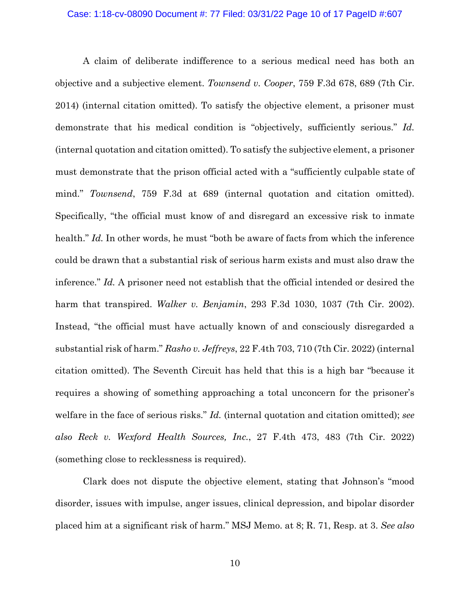#### Case: 1:18-cv-08090 Document #: 77 Filed: 03/31/22 Page 10 of 17 PageID #:607

A claim of deliberate indifference to a serious medical need has both an objective and a subjective element. *Townsend v. Cooper*, 759 F.3d 678, 689 (7th Cir. 2014) (internal citation omitted). To satisfy the objective element, a prisoner must demonstrate that his medical condition is "objectively, sufficiently serious." *Id.* (internal quotation and citation omitted). To satisfy the subjective element, a prisoner must demonstrate that the prison official acted with a "sufficiently culpable state of mind." *Townsend*, 759 F.3d at 689 (internal quotation and citation omitted). Specifically, "the official must know of and disregard an excessive risk to inmate health." *Id.* In other words, he must "both be aware of facts from which the inference could be drawn that a substantial risk of serious harm exists and must also draw the inference." *Id.* A prisoner need not establish that the official intended or desired the harm that transpired. *Walker v. Benjamin*, 293 F.3d 1030, 1037 (7th Cir. 2002). Instead, "the official must have actually known of and consciously disregarded a substantial risk of harm." *Rasho v. Jeffreys*, 22 F.4th 703, 710 (7th Cir. 2022) (internal citation omitted). The Seventh Circuit has held that this is a high bar "because it requires a showing of something approaching a total unconcern for the prisoner's welfare in the face of serious risks." *Id.* (internal quotation and citation omitted); *see also Reck v. Wexford Health Sources, Inc.*, 27 F.4th 473, 483 (7th Cir. 2022) (something close to recklessness is required).

Clark does not dispute the objective element, stating that Johnson's "mood disorder, issues with impulse, anger issues, clinical depression, and bipolar disorder placed him at a significant risk of harm." MSJ Memo. at 8; R. 71, Resp. at 3. *See also*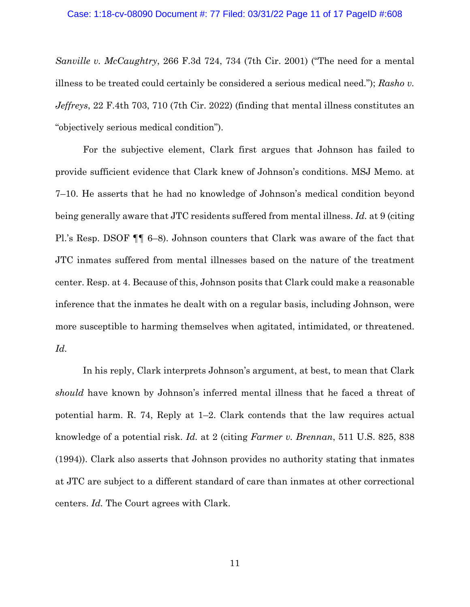*Sanville v. McCaughtry*, 266 F.3d 724, 734 (7th Cir. 2001) ("The need for a mental illness to be treated could certainly be considered a serious medical need."); *Rasho v. Jeffreys*, 22 F.4th 703, 710 (7th Cir. 2022) (finding that mental illness constitutes an "objectively serious medical condition").

For the subjective element, Clark first argues that Johnson has failed to provide sufficient evidence that Clark knew of Johnson's conditions. MSJ Memo. at 7–10. He asserts that he had no knowledge of Johnson's medical condition beyond being generally aware that JTC residents suffered from mental illness. *Id.* at 9 (citing Pl.'s Resp. DSOF ¶¶ 6–8). Johnson counters that Clark was aware of the fact that JTC inmates suffered from mental illnesses based on the nature of the treatment center. Resp. at 4. Because of this, Johnson posits that Clark could make a reasonable inference that the inmates he dealt with on a regular basis, including Johnson, were more susceptible to harming themselves when agitated, intimidated, or threatened. *Id.*

In his reply, Clark interprets Johnson's argument, at best, to mean that Clark *should* have known by Johnson's inferred mental illness that he faced a threat of potential harm. R. 74, Reply at 1–2. Clark contends that the law requires actual knowledge of a potential risk. *Id.* at 2 (citing *Farmer v. Brennan*, 511 U.S. 825, 838 (1994)). Clark also asserts that Johnson provides no authority stating that inmates at JTC are subject to a different standard of care than inmates at other correctional centers. *Id.* The Court agrees with Clark.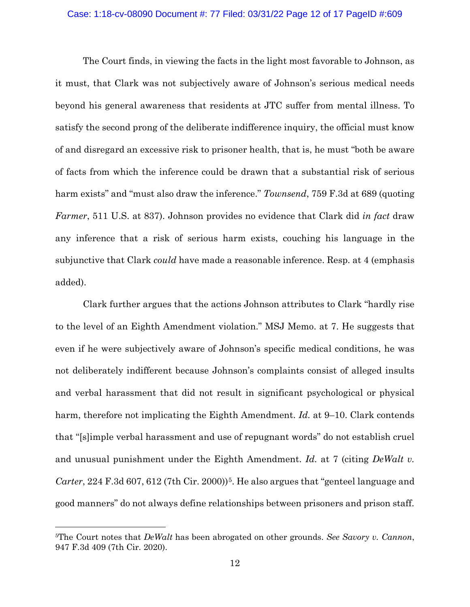#### Case: 1:18-cv-08090 Document #: 77 Filed: 03/31/22 Page 12 of 17 PageID #:609

The Court finds, in viewing the facts in the light most favorable to Johnson, as it must, that Clark was not subjectively aware of Johnson's serious medical needs beyond his general awareness that residents at JTC suffer from mental illness. To satisfy the second prong of the deliberate indifference inquiry, the official must know of and disregard an excessive risk to prisoner health, that is, he must "both be aware of facts from which the inference could be drawn that a substantial risk of serious harm exists" and "must also draw the inference." *Townsend*, 759 F.3d at 689 (quoting *Farmer*, 511 U.S. at 837). Johnson provides no evidence that Clark did *in fact* draw any inference that a risk of serious harm exists, couching his language in the subjunctive that Clark *could* have made a reasonable inference. Resp. at 4 (emphasis added).

Clark further argues that the actions Johnson attributes to Clark "hardly rise to the level of an Eighth Amendment violation." MSJ Memo. at 7. He suggests that even if he were subjectively aware of Johnson's specific medical conditions, he was not deliberately indifferent because Johnson's complaints consist of alleged insults and verbal harassment that did not result in significant psychological or physical harm, therefore not implicating the Eighth Amendment. *Id.* at 9–10. Clark contends that "[s]imple verbal harassment and use of repugnant words" do not establish cruel and unusual punishment under the Eighth Amendment. *Id.* at 7 (citing *DeWalt v. Carter*, 224 F.3d 607, 612 (7th Cir. 2000)<sup>[5](#page-11-0)</sup>. He also argues that "genteel language and good manners" do not always define relationships between prisoners and prison staff.

<span id="page-11-0"></span><sup>5</sup>The Court notes that *DeWalt* has been abrogated on other grounds. *See Savory v. Cannon*, 947 F.3d 409 (7th Cir. 2020).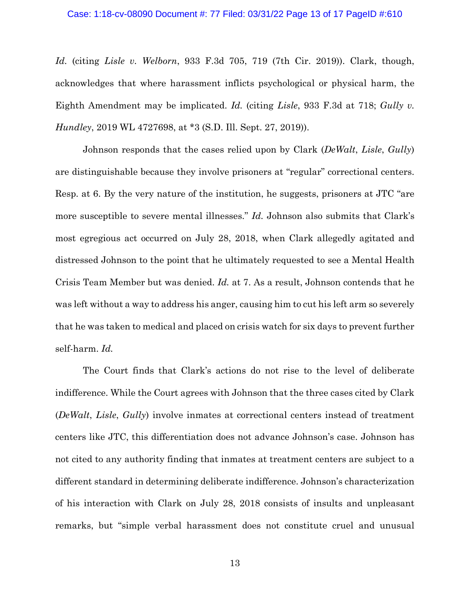#### Case: 1:18-cv-08090 Document #: 77 Filed: 03/31/22 Page 13 of 17 PageID #:610

*Id.* (citing *Lisle v. Welborn*, 933 F.3d 705, 719 (7th Cir. 2019)). Clark, though, acknowledges that where harassment inflicts psychological or physical harm, the Eighth Amendment may be implicated. *Id.* (citing *Lisle*, 933 F.3d at 718; *Gully v. Hundley*, 2019 WL 4727698, at \*3 (S.D. Ill. Sept. 27, 2019)).

Johnson responds that the cases relied upon by Clark (*DeWalt*, *Lisle*, *Gully*) are distinguishable because they involve prisoners at "regular" correctional centers. Resp. at 6. By the very nature of the institution, he suggests, prisoners at JTC "are more susceptible to severe mental illnesses." *Id.* Johnson also submits that Clark's most egregious act occurred on July 28, 2018, when Clark allegedly agitated and distressed Johnson to the point that he ultimately requested to see a Mental Health Crisis Team Member but was denied. *Id.* at 7. As a result, Johnson contends that he was left without a way to address his anger, causing him to cut his left arm so severely that he was taken to medical and placed on crisis watch for six days to prevent further self-harm. *Id.*

The Court finds that Clark's actions do not rise to the level of deliberate indifference. While the Court agrees with Johnson that the three cases cited by Clark (*DeWalt*, *Lisle*, *Gully*) involve inmates at correctional centers instead of treatment centers like JTC, this differentiation does not advance Johnson's case. Johnson has not cited to any authority finding that inmates at treatment centers are subject to a different standard in determining deliberate indifference. Johnson's characterization of his interaction with Clark on July 28, 2018 consists of insults and unpleasant remarks, but "simple verbal harassment does not constitute cruel and unusual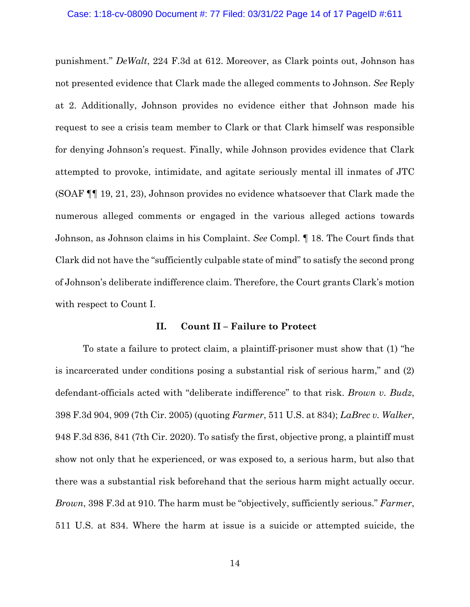#### Case: 1:18-cv-08090 Document #: 77 Filed: 03/31/22 Page 14 of 17 PageID #:611

punishment." *DeWalt*, 224 F.3d at 612. Moreover, as Clark points out, Johnson has not presented evidence that Clark made the alleged comments to Johnson. *See* Reply at 2. Additionally, Johnson provides no evidence either that Johnson made his request to see a crisis team member to Clark or that Clark himself was responsible for denying Johnson's request. Finally, while Johnson provides evidence that Clark attempted to provoke, intimidate, and agitate seriously mental ill inmates of JTC (SOAF ¶¶ 19, 21, 23), Johnson provides no evidence whatsoever that Clark made the numerous alleged comments or engaged in the various alleged actions towards Johnson, as Johnson claims in his Complaint. *See* Compl. ¶ 18. The Court finds that Clark did not have the "sufficiently culpable state of mind" to satisfy the second prong of Johnson's deliberate indifference claim. Therefore, the Court grants Clark's motion with respect to Count I.

### **II. Count II – Failure to Protect**

To state a failure to protect claim, a plaintiff-prisoner must show that (1) "he is incarcerated under conditions posing a substantial risk of serious harm," and (2) defendant-officials acted with "deliberate indifference" to that risk. *Brown v. Budz*, 398 F.3d 904, 909 (7th Cir. 2005) (quoting *Farmer*, 511 U.S. at 834); *LaBrec v. Walker*, 948 F.3d 836, 841 (7th Cir. 2020). To satisfy the first, objective prong, a plaintiff must show not only that he experienced, or was exposed to, a serious harm, but also that there was a substantial risk beforehand that the serious harm might actually occur. *Brown*, 398 F.3d at 910. The harm must be "objectively, sufficiently serious." *Farmer*, 511 U.S. at 834. Where the harm at issue is a suicide or attempted suicide, the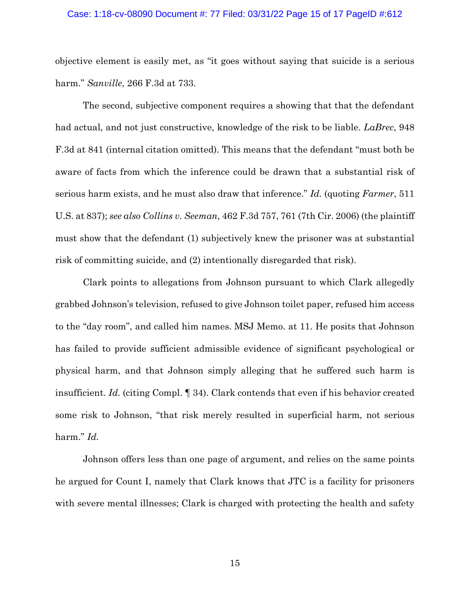#### Case: 1:18-cv-08090 Document #: 77 Filed: 03/31/22 Page 15 of 17 PageID #:612

objective element is easily met, as "it goes without saying that suicide is a serious harm." *Sanville*, 266 F.3d at 733.

The second, subjective component requires a showing that that the defendant had actual, and not just constructive, knowledge of the risk to be liable. *LaBrec*, 948 F.3d at 841 (internal citation omitted). This means that the defendant "must both be aware of facts from which the inference could be drawn that a substantial risk of serious harm exists, and he must also draw that inference." *Id.* (quoting *Farmer*, 511 U.S. at 837); *see also Collins v. Seeman*, 462 F.3d 757, 761 (7th Cir. 2006) (the plaintiff must show that the defendant (1) subjectively knew the prisoner was at substantial risk of committing suicide, and (2) intentionally disregarded that risk).

Clark points to allegations from Johnson pursuant to which Clark allegedly grabbed Johnson's television, refused to give Johnson toilet paper, refused him access to the "day room", and called him names. MSJ Memo. at 11. He posits that Johnson has failed to provide sufficient admissible evidence of significant psychological or physical harm, and that Johnson simply alleging that he suffered such harm is insufficient. *Id.* (citing Compl. ¶ 34). Clark contends that even if his behavior created some risk to Johnson, "that risk merely resulted in superficial harm, not serious harm." *Id.*

Johnson offers less than one page of argument, and relies on the same points he argued for Count I, namely that Clark knows that JTC is a facility for prisoners with severe mental illnesses; Clark is charged with protecting the health and safety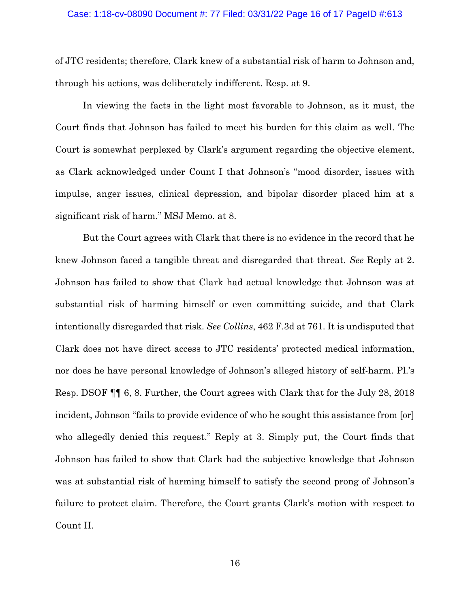#### Case: 1:18-cv-08090 Document #: 77 Filed: 03/31/22 Page 16 of 17 PageID #:613

of JTC residents; therefore, Clark knew of a substantial risk of harm to Johnson and, through his actions, was deliberately indifferent. Resp. at 9.

In viewing the facts in the light most favorable to Johnson, as it must, the Court finds that Johnson has failed to meet his burden for this claim as well. The Court is somewhat perplexed by Clark's argument regarding the objective element, as Clark acknowledged under Count I that Johnson's "mood disorder, issues with impulse, anger issues, clinical depression, and bipolar disorder placed him at a significant risk of harm." MSJ Memo. at 8.

But the Court agrees with Clark that there is no evidence in the record that he knew Johnson faced a tangible threat and disregarded that threat. *See* Reply at 2. Johnson has failed to show that Clark had actual knowledge that Johnson was at substantial risk of harming himself or even committing suicide, and that Clark intentionally disregarded that risk. *See Collins*, 462 F.3d at 761. It is undisputed that Clark does not have direct access to JTC residents' protected medical information, nor does he have personal knowledge of Johnson's alleged history of self-harm. Pl.'s Resp. DSOF ¶¶ 6, 8. Further, the Court agrees with Clark that for the July 28, 2018 incident, Johnson "fails to provide evidence of who he sought this assistance from [or] who allegedly denied this request." Reply at 3. Simply put, the Court finds that Johnson has failed to show that Clark had the subjective knowledge that Johnson was at substantial risk of harming himself to satisfy the second prong of Johnson's failure to protect claim. Therefore, the Court grants Clark's motion with respect to Count II.